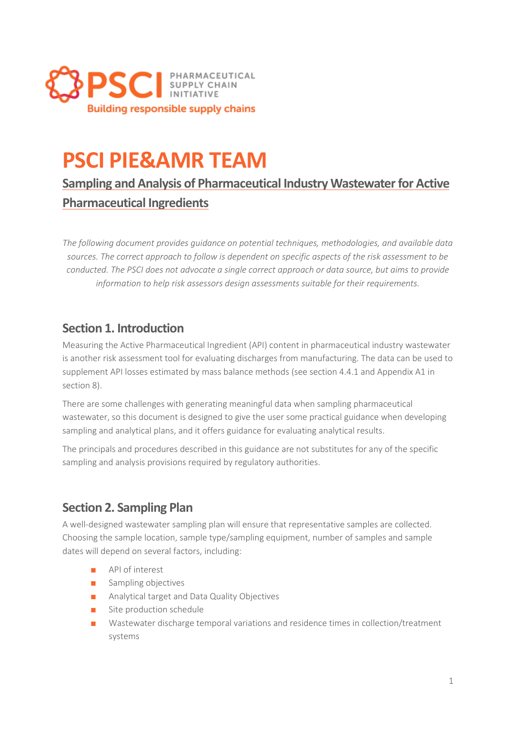

# **PSCI PIE&AMR TEAM**

**Sampling and Analysis of Pharmaceutical Industry Wastewater for Active Pharmaceutical Ingredients**

*The following document provides guidance on potential techniques, methodologies, and available data sources. The correct approach to follow is dependent on specific aspects of the risk assessment to be conducted. The PSCI does not advocate a single correct approach or data source, but aims to provide information to help risk assessors design assessments suitable for their requirements.*

## **Section 1. Introduction**

Measuring the Active Pharmaceutical Ingredient (API) content in pharmaceutical industry wastewater is another risk assessment tool for evaluating discharges from manufacturing. The data can be used to supplement API losses estimated by mass balance methods (see section 4.4.1 and Appendix A1 in section 8).

There are some challenges with generating meaningful data when sampling pharmaceutical wastewater, so this document is designed to give the user some practical guidance when developing sampling and analytical plans, and it offers guidance for evaluating analytical results.

The principals and procedures described in this guidance are not substitutes for any of the specific sampling and analysis provisions required by regulatory authorities.

## **Section 2. Sampling Plan**

A well-designed wastewater sampling plan will ensure that representative samples are collected. Choosing the sample location, sample type/sampling equipment, number of samples and sample dates will depend on several factors, including:

- API of interest
- Sampling objectives
- Analytical target and Data Quality Objectives
- Site production schedule
- Wastewater discharge temporal variations and residence times in collection/treatment systems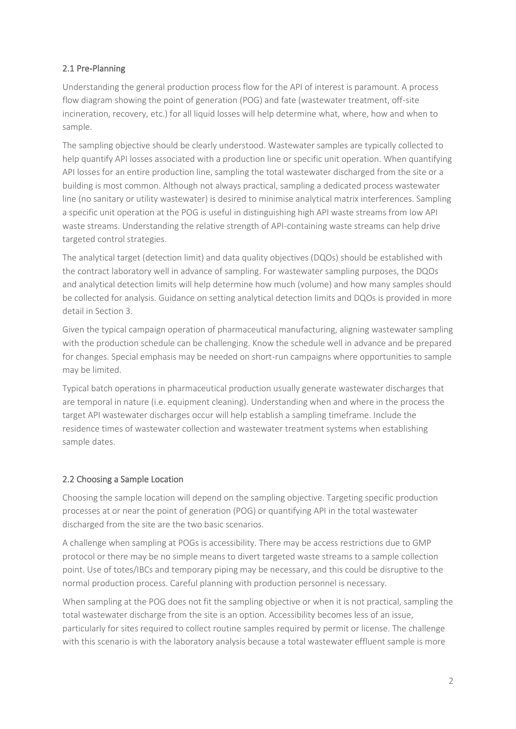#### 2.1 Pre-Planning

Understanding the general production process flow for the API of interest is paramount. A process flow diagram showing the point of generation (POG) and fate (wastewater treatment, off-site incineration, recovery, etc.) for all liquid losses will help determine what, where, how and when to sample.

The sampling objective should be clearly understood. Wastewater samples are typically collected to help quantify API losses associated with a production line or specific unit operation. When quantifying API losses for an entire production line, sampling the total wastewater discharged from the site or a building is most common. Although not always practical, sampling a dedicated process wastewater line (no sanitary or utility wastewater) is desired to minimise analytical matrix interferences. Sampling a specific unit operation at the POG is useful in distinguishing high API waste streams from low API waste streams. Understanding the relative strength of API-containing waste streams can help drive targeted control strategies.

The analytical target (detection limit) and data quality objectives (DQOs) should be established with the contract laboratory well in advance of sampling. For wastewater sampling purposes, the DQOs and analytical detection limits will help determine how much (volume) and how many samples should be collected for analysis. Guidance on setting analytical detection limits and DQOs is provided in more detail in Section 3.

Given the typical campaign operation of pharmaceutical manufacturing, aligning wastewater sampling with the production schedule can be challenging. Know the schedule well in advance and be prepared for changes. Special emphasis may be needed on short-run campaigns where opportunities to sample may be limited.

Typical batch operations in pharmaceutical production usually generate wastewater discharges that are temporal in nature (i.e. equipment cleaning). Understanding when and where in the process the target API wastewater discharges occur will help establish a sampling timeframe. Include the residence times of wastewater collection and wastewater treatment systems when establishing sample dates.

#### 2.2 Choosing a Sample Location

Choosing the sample location will depend on the sampling objective. Targeting specific production processes at or near the point of generation (POG) or quantifying API in the total wastewater discharged from the site are the two basic scenarios.

A challenge when sampling at POGs is accessibility. There may be access restrictions due to GMP protocol or there may be no simple means to divert targeted waste streams to a sample collection point. Use of totes/IBCs and temporary piping may be necessary, and this could be disruptive to the normal production process. Careful planning with production personnel is necessary.

When sampling at the POG does not fit the sampling objective or when it is not practical, sampling the total wastewater discharge from the site is an option. Accessibility becomes less of an issue, particularly for sites required to collect routine samples required by permit or license. The challenge with this scenario is with the laboratory analysis because a total wastewater effluent sample is more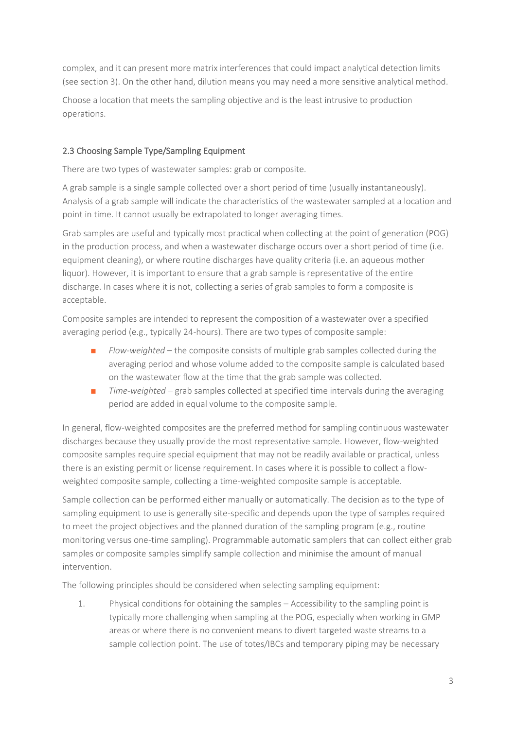complex, and it can present more matrix interferences that could impact analytical detection limits (see section 3). On the other hand, dilution means you may need a more sensitive analytical method.

Choose a location that meets the sampling objective and is the least intrusive to production operations.

#### 2.3 Choosing Sample Type/Sampling Equipment

There are two types of wastewater samples: grab or composite.

A grab sample is a single sample collected over a short period of time (usually instantaneously). Analysis of a grab sample will indicate the characteristics of the wastewater sampled at a location and point in time. It cannot usually be extrapolated to longer averaging times.

Grab samples are useful and typically most practical when collecting at the point of generation (POG) in the production process, and when a wastewater discharge occurs over a short period of time (i.e. equipment cleaning), or where routine discharges have quality criteria (i.e. an aqueous mother liquor). However, it is important to ensure that a grab sample is representative of the entire discharge. In cases where it is not, collecting a series of grab samples to form a composite is acceptable.

Composite samples are intended to represent the composition of a wastewater over a specified averaging period (e.g., typically 24-hours). There are two types of composite sample:

- *Flow-weighted* the composite consists of multiple grab samples collected during the averaging period and whose volume added to the composite sample is calculated based on the wastewater flow at the time that the grab sample was collected.
- *Time-weighted* grab samples collected at specified time intervals during the averaging period are added in equal volume to the composite sample.

In general, flow-weighted composites are the preferred method for sampling continuous wastewater discharges because they usually provide the most representative sample. However, flow-weighted composite samples require special equipment that may not be readily available or practical, unless there is an existing permit or license requirement. In cases where it is possible to collect a flowweighted composite sample, collecting a time-weighted composite sample is acceptable.

Sample collection can be performed either manually or automatically. The decision as to the type of sampling equipment to use is generally site-specific and depends upon the type of samples required to meet the project objectives and the planned duration of the sampling program (e.g., routine monitoring versus one-time sampling). Programmable automatic samplers that can collect either grab samples or composite samples simplify sample collection and minimise the amount of manual intervention.

The following principles should be considered when selecting sampling equipment:

1. Physical conditions for obtaining the samples – Accessibility to the sampling point is typically more challenging when sampling at the POG, especially when working in GMP areas or where there is no convenient means to divert targeted waste streams to a sample collection point. The use of totes/IBCs and temporary piping may be necessary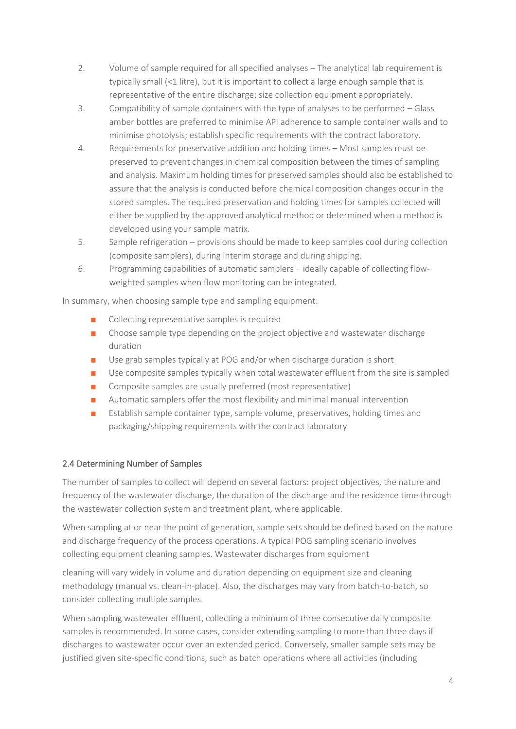- 2. Volume of sample required for all specified analyses The analytical lab requirement is typically small (<1 litre), but it is important to collect a large enough sample that is representative of the entire discharge; size collection equipment appropriately.
- 3. Compatibility of sample containers with the type of analyses to be performed Glass amber bottles are preferred to minimise API adherence to sample container walls and to minimise photolysis; establish specific requirements with the contract laboratory.
- 4. Requirements for preservative addition and holding times Most samples must be preserved to prevent changes in chemical composition between the times of sampling and analysis. Maximum holding times for preserved samples should also be established to assure that the analysis is conducted before chemical composition changes occur in the stored samples. The required preservation and holding times for samples collected will either be supplied by the approved analytical method or determined when a method is developed using your sample matrix.
- 5. Sample refrigeration provisions should be made to keep samples cool during collection (composite samplers), during interim storage and during shipping.
- 6. Programming capabilities of automatic samplers ideally capable of collecting flowweighted samples when flow monitoring can be integrated.

In summary, when choosing sample type and sampling equipment:

- Collecting representative samples is required
- Choose sample type depending on the project objective and wastewater discharge duration
- Use grab samples typically at POG and/or when discharge duration is short
- Use composite samples typically when total wastewater effluent from the site is sampled
- Composite samples are usually preferred (most representative)
- Automatic samplers offer the most flexibility and minimal manual intervention
- Establish sample container type, sample volume, preservatives, holding times and packaging/shipping requirements with the contract laboratory

#### 2.4 Determining Number of Samples

The number of samples to collect will depend on several factors: project objectives, the nature and frequency of the wastewater discharge, the duration of the discharge and the residence time through the wastewater collection system and treatment plant, where applicable.

When sampling at or near the point of generation, sample sets should be defined based on the nature and discharge frequency of the process operations. A typical POG sampling scenario involves collecting equipment cleaning samples. Wastewater discharges from equipment

cleaning will vary widely in volume and duration depending on equipment size and cleaning methodology (manual vs. clean-in-place). Also, the discharges may vary from batch-to-batch, so consider collecting multiple samples.

When sampling wastewater effluent, collecting a minimum of three consecutive daily composite samples is recommended. In some cases, consider extending sampling to more than three days if discharges to wastewater occur over an extended period. Conversely, smaller sample sets may be justified given site-specific conditions, such as batch operations where all activities (including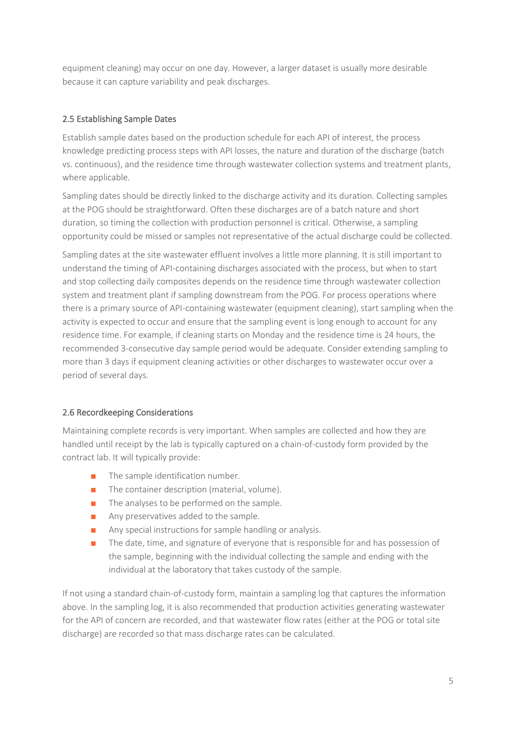equipment cleaning) may occur on one day. However, a larger dataset is usually more desirable because it can capture variability and peak discharges.

#### 2.5 Establishing Sample Dates

Establish sample dates based on the production schedule for each API of interest, the process knowledge predicting process steps with API losses, the nature and duration of the discharge (batch vs. continuous), and the residence time through wastewater collection systems and treatment plants, where applicable.

Sampling dates should be directly linked to the discharge activity and its duration. Collecting samples at the POG should be straightforward. Often these discharges are of a batch nature and short duration, so timing the collection with production personnel is critical. Otherwise, a sampling opportunity could be missed or samples not representative of the actual discharge could be collected.

Sampling dates at the site wastewater effluent involves a little more planning. It is still important to understand the timing of API-containing discharges associated with the process, but when to start and stop collecting daily composites depends on the residence time through wastewater collection system and treatment plant if sampling downstream from the POG. For process operations where there is a primary source of API-containing wastewater (equipment cleaning), start sampling when the activity is expected to occur and ensure that the sampling event is long enough to account for any residence time. For example, if cleaning starts on Monday and the residence time is 24 hours, the recommended 3-consecutive day sample period would be adequate. Consider extending sampling to more than 3 days if equipment cleaning activities or other discharges to wastewater occur over a period of several days.

#### 2.6 Recordkeeping Considerations

Maintaining complete records is very important. When samples are collected and how they are handled until receipt by the lab is typically captured on a chain-of-custody form provided by the contract lab. It will typically provide:

- The sample identification number.
- The container description (material, volume).
- The analyses to be performed on the sample.
- Any preservatives added to the sample.
- Any special instructions for sample handling or analysis.
- The date, time, and signature of everyone that is responsible for and has possession of the sample, beginning with the individual collecting the sample and ending with the individual at the laboratory that takes custody of the sample.

If not using a standard chain-of-custody form, maintain a sampling log that captures the information above. In the sampling log, it is also recommended that production activities generating wastewater for the API of concern are recorded, and that wastewater flow rates (either at the POG or total site discharge) are recorded so that mass discharge rates can be calculated.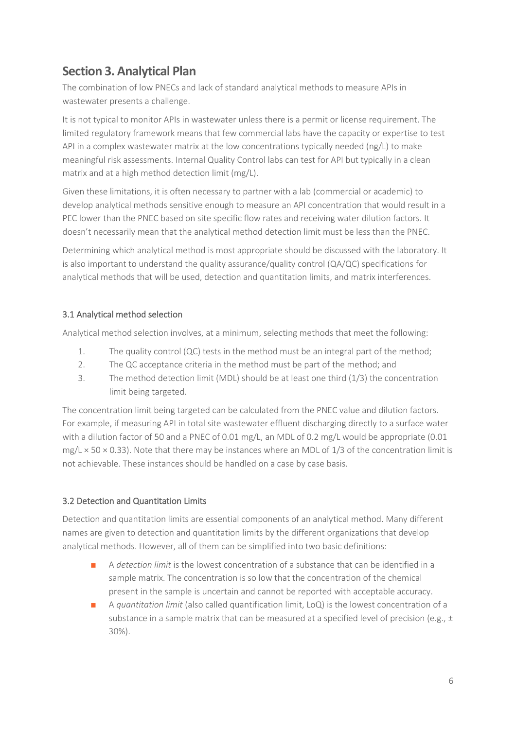## **Section 3. Analytical Plan**

The combination of low PNECs and lack of standard analytical methods to measure APIs in wastewater presents a challenge.

It is not typical to monitor APIs in wastewater unless there is a permit or license requirement. The limited regulatory framework means that few commercial labs have the capacity or expertise to test API in a complex wastewater matrix at the low concentrations typically needed (ng/L) to make meaningful risk assessments. Internal Quality Control labs can test for API but typically in a clean matrix and at a high method detection limit (mg/L).

Given these limitations, it is often necessary to partner with a lab (commercial or academic) to develop analytical methods sensitive enough to measure an API concentration that would result in a PEC lower than the PNEC based on site specific flow rates and receiving water dilution factors. It doesn't necessarily mean that the analytical method detection limit must be less than the PNEC.

Determining which analytical method is most appropriate should be discussed with the laboratory. It is also important to understand the quality assurance/quality control (QA/QC) specifications for analytical methods that will be used, detection and quantitation limits, and matrix interferences.

#### 3.1 Analytical method selection

Analytical method selection involves, at a minimum, selecting methods that meet the following:

- 1. The quality control (QC) tests in the method must be an integral part of the method;
- 2. The QC acceptance criteria in the method must be part of the method; and
- 3. The method detection limit (MDL) should be at least one third (1/3) the concentration limit being targeted.

The concentration limit being targeted can be calculated from the PNEC value and dilution factors. For example, if measuring API in total site wastewater effluent discharging directly to a surface water with a dilution factor of 50 and a PNEC of 0.01 mg/L, an MDL of 0.2 mg/L would be appropriate (0.01 mg/L × 50 × 0.33). Note that there may be instances where an MDL of 1/3 of the concentration limit is not achievable. These instances should be handled on a case by case basis.

#### 3.2 Detection and Quantitation Limits

Detection and quantitation limits are essential components of an analytical method. Many different names are given to detection and quantitation limits by the different organizations that develop analytical methods. However, all of them can be simplified into two basic definitions:

- A *detection limit* is the lowest concentration of a substance that can be identified in a sample matrix. The concentration is so low that the concentration of the chemical present in the sample is uncertain and cannot be reported with acceptable accuracy.
- A *quantitation limit* (also called quantification limit, LoQ) is the lowest concentration of a substance in a sample matrix that can be measured at a specified level of precision (e.g.,  $\pm$ 30%).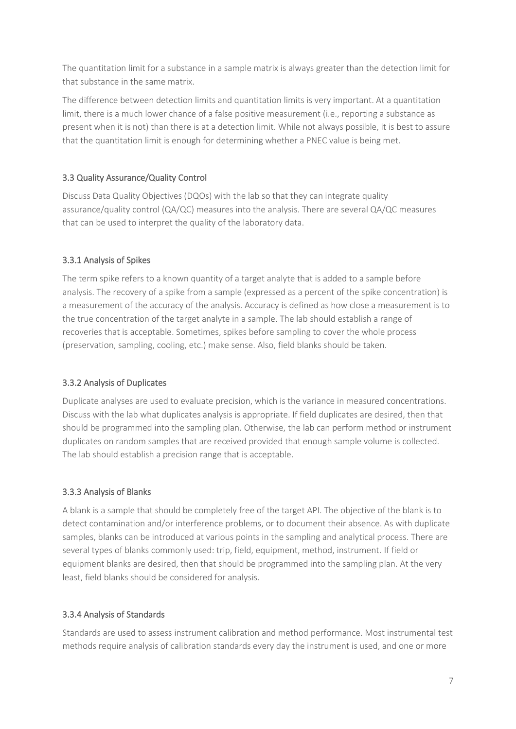The quantitation limit for a substance in a sample matrix is always greater than the detection limit for that substance in the same matrix.

The difference between detection limits and quantitation limits is very important. At a quantitation limit, there is a much lower chance of a false positive measurement (i.e., reporting a substance as present when it is not) than there is at a detection limit. While not always possible, it is best to assure that the quantitation limit is enough for determining whether a PNEC value is being met.

#### 3.3 Quality Assurance/Quality Control

Discuss Data Quality Objectives (DQOs) with the lab so that they can integrate quality assurance/quality control (QA/QC) measures into the analysis. There are several QA/QC measures that can be used to interpret the quality of the laboratory data.

#### 3.3.1 Analysis of Spikes

The term spike refers to a known quantity of a target analyte that is added to a sample before analysis. The recovery of a spike from a sample (expressed as a percent of the spike concentration) is a measurement of the accuracy of the analysis. Accuracy is defined as how close a measurement is to the true concentration of the target analyte in a sample. The lab should establish a range of recoveries that is acceptable. Sometimes, spikes before sampling to cover the whole process (preservation, sampling, cooling, etc.) make sense. Also, field blanks should be taken.

#### 3.3.2 Analysis of Duplicates

Duplicate analyses are used to evaluate precision, which is the variance in measured concentrations. Discuss with the lab what duplicates analysis is appropriate. If field duplicates are desired, then that should be programmed into the sampling plan. Otherwise, the lab can perform method or instrument duplicates on random samples that are received provided that enough sample volume is collected. The lab should establish a precision range that is acceptable.

#### 3.3.3 Analysis of Blanks

A blank is a sample that should be completely free of the target API. The objective of the blank is to detect contamination and/or interference problems, or to document their absence. As with duplicate samples, blanks can be introduced at various points in the sampling and analytical process. There are several types of blanks commonly used: trip, field, equipment, method, instrument. If field or equipment blanks are desired, then that should be programmed into the sampling plan. At the very least, field blanks should be considered for analysis.

#### 3.3.4 Analysis of Standards

Standards are used to assess instrument calibration and method performance. Most instrumental test methods require analysis of calibration standards every day the instrument is used, and one or more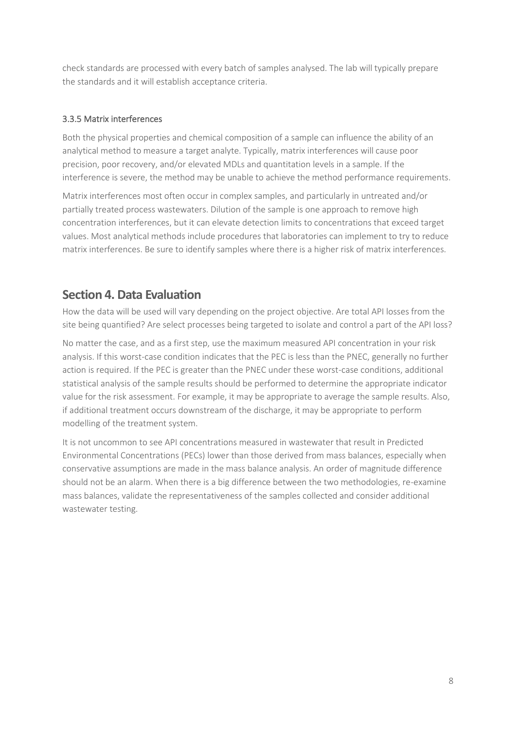check standards are processed with every batch of samples analysed. The lab will typically prepare the standards and it will establish acceptance criteria.

#### 3.3.5 Matrix interferences

Both the physical properties and chemical composition of a sample can influence the ability of an analytical method to measure a target analyte. Typically, matrix interferences will cause poor precision, poor recovery, and/or elevated MDLs and quantitation levels in a sample. If the interference is severe, the method may be unable to achieve the method performance requirements.

Matrix interferences most often occur in complex samples, and particularly in untreated and/or partially treated process wastewaters. Dilution of the sample is one approach to remove high concentration interferences, but it can elevate detection limits to concentrations that exceed target values. Most analytical methods include procedures that laboratories can implement to try to reduce matrix interferences. Be sure to identify samples where there is a higher risk of matrix interferences.

## **Section 4. Data Evaluation**

How the data will be used will vary depending on the project objective. Are total API losses from the site being quantified? Are select processes being targeted to isolate and control a part of the API loss?

No matter the case, and as a first step, use the maximum measured API concentration in your risk analysis. If this worst-case condition indicates that the PEC is less than the PNEC, generally no further action is required. If the PEC is greater than the PNEC under these worst-case conditions, additional statistical analysis of the sample results should be performed to determine the appropriate indicator value for the risk assessment. For example, it may be appropriate to average the sample results. Also, if additional treatment occurs downstream of the discharge, it may be appropriate to perform modelling of the treatment system.

It is not uncommon to see API concentrations measured in wastewater that result in Predicted Environmental Concentrations (PECs) lower than those derived from mass balances, especially when conservative assumptions are made in the mass balance analysis. An order of magnitude difference should not be an alarm. When there is a big difference between the two methodologies, re-examine mass balances, validate the representativeness of the samples collected and consider additional wastewater testing.